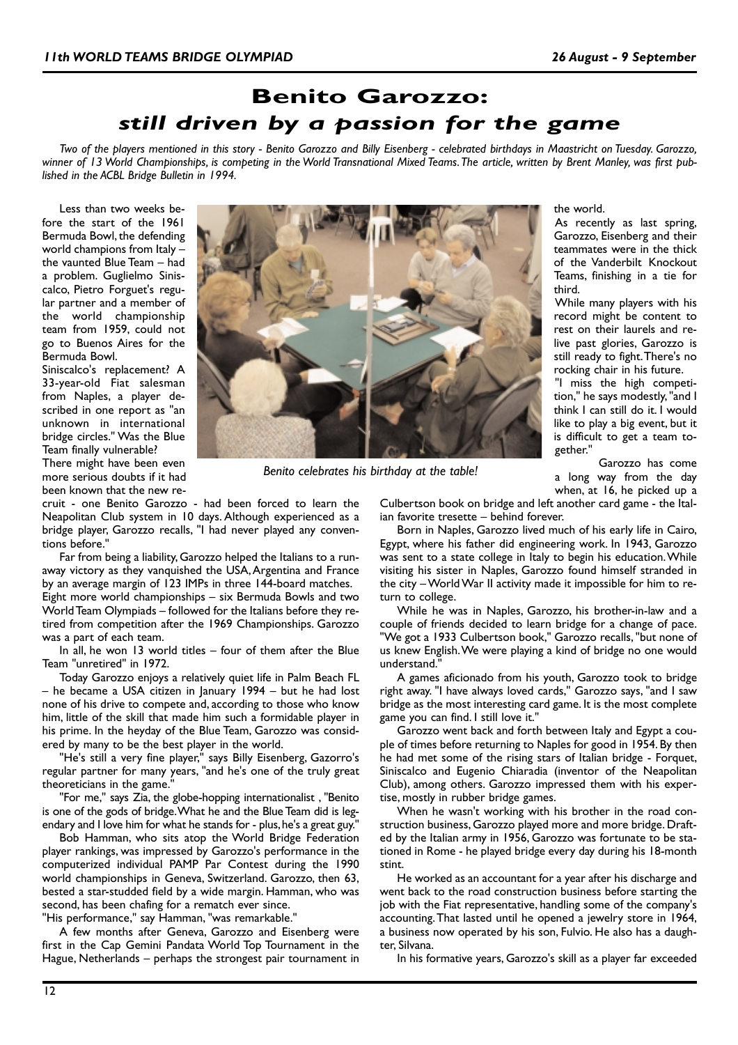## **Benito Garozzo:** *still driven by a passion for the game*

*Two of the players mentioned in this story - Benito Garozzo and Billy Eisenberg - celebrated birthdays in Maastricht on Tuesday. Garozzo, winner of 13 World Championships, is competing in the World Transnational Mixed Teams.The article, written by Brent Manley, was first published in the ACBL Bridge Bulletin in 1994.*

Less than two weeks before the start of the 1961 Bermuda Bowl, the defending world champions from Italy – the vaunted Blue Team – had a problem. Guglielmo Siniscalco, Pietro Forguet's regular partner and a member of the world championship team from 1959, could not go to Buenos Aires for the Bermuda Bowl.

Siniscalco's replacement? A 33-year-old Fiat salesman from Naples, a player described in one report as "an unknown in international bridge circles." Was the Blue Team finally vulnerable? There might have been even more serious doubts if it had

been known that the new re-



*Benito celebrates his birthday at the table!*

cruit - one Benito Garozzo - had been forced to learn the Neapolitan Club system in 10 days. Although experienced as a bridge player, Garozzo recalls, "I had never played any conventions before."

Far from being a liability, Garozzo helped the Italians to a runaway victory as they vanquished the USA, Argentina and France by an average margin of 123 IMPs in three 144-board matches. Eight more world championships – six Bermuda Bowls and two World Team Olympiads – followed for the Italians before they retired from competition after the 1969 Championships. Garozzo was a part of each team.

In all, he won 13 world titles – four of them after the Blue Team "unretired" in 1972.

Today Garozzo enjoys a relatively quiet life in Palm Beach FL – he became a USA citizen in January 1994 – but he had lost none of his drive to compete and, according to those who know him, little of the skill that made him such a formidable player in his prime. In the heyday of the Blue Team, Garozzo was considered by many to be the best player in the world.

"He's still a very fine player," says Billy Eisenberg, Gazorro's regular partner for many years, "and he's one of the truly great theoreticians in the game."

"For me," says Zia, the globe-hopping internationalist , "Benito is one of the gods of bridge.What he and the Blue Team did is legendary and I love him for what he stands for - plus, he's a great guy."

Bob Hamman, who sits atop the World Bridge Federation player rankings, was impressed by Garozzo's performance in the computerized individual PAMP Par Contest during the 1990 world championships in Geneva, Switzerland. Garozzo, then 63, bested a star-studded field by a wide margin. Hamman, who was second, has been chafing for a rematch ever since.

"His performance," say Hamman, "was remarkable."

A few months after Geneva, Garozzo and Eisenberg were first in the Cap Gemini Pandata World Top Tournament in the Hague, Netherlands – perhaps the strongest pair tournament in the world.

As recently as last spring, Garozzo, Eisenberg and their teammates were in the thick of the Vanderbilt Knockout Teams, finishing in a tie for third.

While many players with his record might be content to rest on their laurels and relive past glories, Garozzo is still ready to fight.There's no rocking chair in his future.

"I miss the high competition," he says modestly, "and I think I can still do it. I would like to play a big event, but it is difficult to get a team together."

Garozzo has come a long way from the day when, at 16, he picked up a

Culbertson book on bridge and left another card game - the Italian favorite tresette – behind forever.

Born in Naples, Garozzo lived much of his early life in Cairo, Egypt, where his father did engineering work. In 1943, Garozzo was sent to a state college in Italy to begin his education.While visiting his sister in Naples, Garozzo found himself stranded in the city – World War II activity made it impossible for him to return to college.

While he was in Naples, Garozzo, his brother-in-law and a couple of friends decided to learn bridge for a change of pace. "We got a 1933 Culbertson book," Garozzo recalls, "but none of us knew English.We were playing a kind of bridge no one would understand."

A games aficionado from his youth, Garozzo took to bridge right away. "I have always loved cards," Garozzo says, "and I saw bridge as the most interesting card game. It is the most complete game you can find. I still love it."

Garozzo went back and forth between Italy and Egypt a couple of times before returning to Naples for good in 1954. By then he had met some of the rising stars of Italian bridge - Forquet, Siniscalco and Eugenio Chiaradia (inventor of the Neapolitan Club), among others. Garozzo impressed them with his expertise, mostly in rubber bridge games.

When he wasn't working with his brother in the road construction business, Garozzo played more and more bridge. Drafted by the Italian army in 1956, Garozzo was fortunate to be stationed in Rome - he played bridge every day during his 18-month stint.

He worked as an accountant for a year after his discharge and went back to the road construction business before starting the job with the Fiat representative, handling some of the company's accounting.That lasted until he opened a jewelry store in 1964, a business now operated by his son, Fulvio. He also has a daughter, Silvana.

In his formative years, Garozzo's skill as a player far exceeded